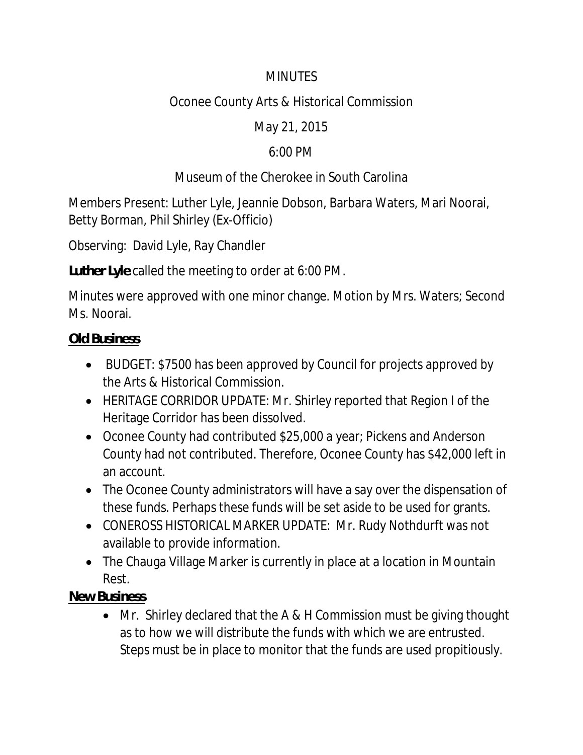#### **MINUTES**

## Oconee County Arts & Historical Commission

May 21, 2015

## 6:00 PM

# Museum of the Cherokee in South Carolina

Members Present: Luther Lyle, Jeannie Dobson, Barbara Waters, Mari Noorai, Betty Borman, Phil Shirley (Ex-Officio)

Observing: David Lyle, Ray Chandler

**Luther Lyle** called the meeting to order at 6:00 PM.

Minutes were approved with one minor change. Motion by Mrs. Waters; Second Ms. Noorai.

#### **Old Business**

- BUDGET: \$7500 has been approved by Council for projects approved by the Arts & Historical Commission.
- HERITAGE CORRIDOR UPDATE: Mr. Shirley reported that Region I of the Heritage Corridor has been dissolved.
- Oconee County had contributed \$25,000 a year; Pickens and Anderson County had not contributed. Therefore, Oconee County has \$42,000 left in an account.
- The Oconee County administrators will have a say over the dispensation of these funds. Perhaps these funds will be set aside to be used for grants.
- CONEROSS HISTORICAL MARKER UPDATE: Mr. Rudy Nothdurft was not available to provide information.
- The Chauga Village Marker is currently in place at a location in Mountain Rest.

# **New Business**

• Mr. Shirley declared that the A & H Commission must be giving thought as to how we will distribute the funds with which we are entrusted. Steps must be in place to monitor that the funds are used propitiously.